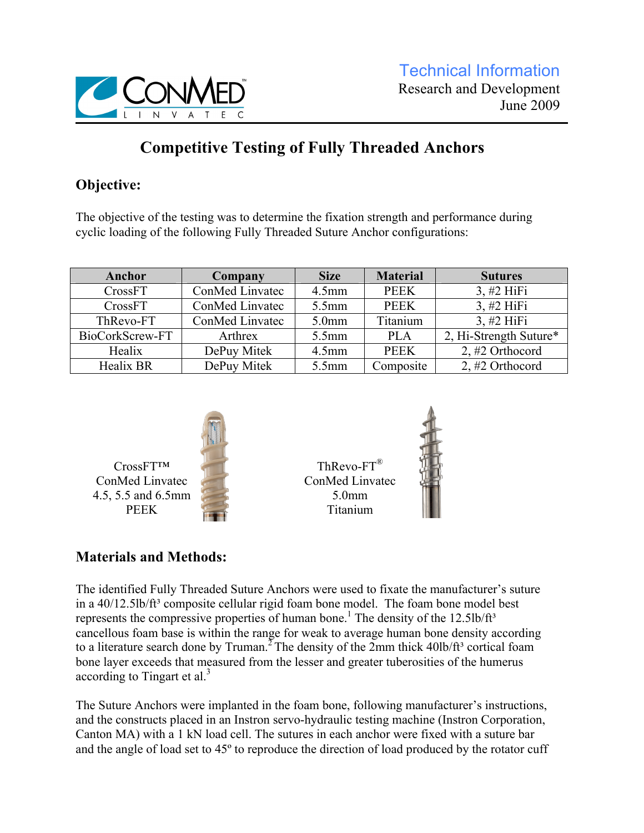

# **Competitive Testing of Fully Threaded Anchors**

## **Objective:**

The objective of the testing was to determine the fixation strength and performance during cyclic loading of the following Fully Threaded Suture Anchor configurations:

| Anchor           | Company         | <b>Size</b>             | <b>Material</b> | <b>Sutures</b>         |
|------------------|-----------------|-------------------------|-----------------|------------------------|
| CrossFT          | ConMed Linvatec | $4.5$ mm                | <b>PEEK</b>     | $3, #2$ HiFi           |
| CrossFT          | ConMed Linvatec | $5.5$ mm<br><b>PEEK</b> |                 | $3, #2$ HiFi           |
| ThRevo-FT        | ConMed Linvatec | 5.0 <sub>mm</sub>       |                 | $3, #2$ HiFi           |
| BioCorkScrew-FT  | Arthrex         | $5.5$ mm                | <b>PLA</b>      | 2, Hi-Strength Suture* |
| Healix           | DePuy Mitek     | $4.5$ mm                | <b>PEEK</b>     | 2, $#2$ Orthocord      |
| <b>Healix BR</b> | DePuy Mitek     |                         | Composite       | 2, $#2$ Orthocord      |



 $ThRevo-FT^{\mathcal{B}}$ ConMed Linvatec 5.0mm Titanium



### **Materials and Methods:**

CrossFT™ ConMed Linvatec

PEEK

The identified Fully Threaded Suture Anchors were used to fixate the manufacturer's suture in a 40/12.5lb/ft<sup>3</sup> composite cellular rigid foam bone model. The foam bone model best represents the compressive properties of human bone.<sup>1</sup> The density of the  $12.5$ lb/ft<sup>3</sup> cancellous foam base is within the range for weak to average human bone density according to a literature search done by Truman.<sup>2</sup> The density of the 2mm thick  $40\frac{1}{11}$  cortical foam bone layer exceeds that measured from the lesser and greater tuberosities of the humerus according to Tingart et al. $3$ 

The Suture Anchors were implanted in the foam bone, following manufacturer's instructions, and the constructs placed in an Instron servo-hydraulic testing machine (Instron Corporation, Canton MA) with a 1 kN load cell. The sutures in each anchor were fixed with a suture bar and the angle of load set to 45º to reproduce the direction of load produced by the rotator cuff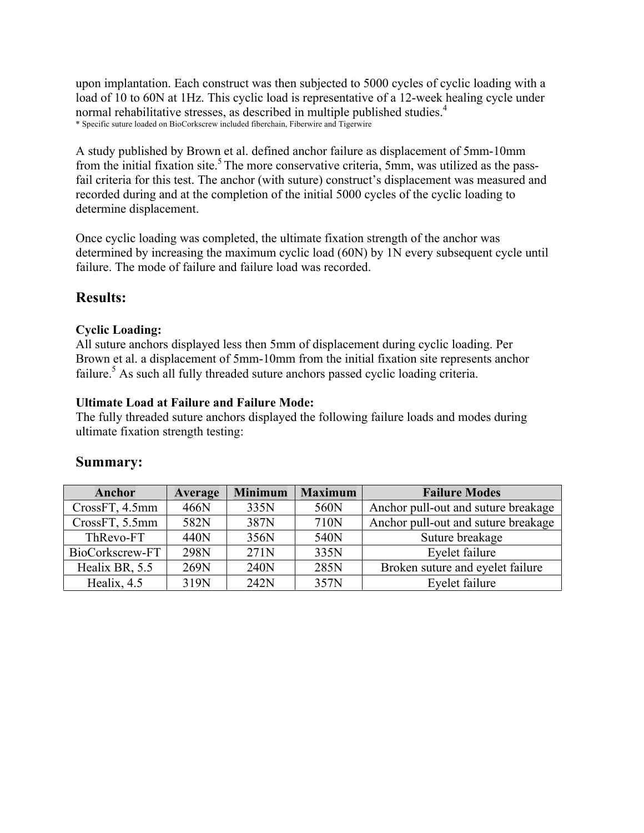upon implantation. Each construct was then subjected to 5000 cycles of cyclic loading with a load of 10 to 60N at 1Hz. This cyclic load is representative of a 12-week healing cycle under normal rehabilitative stresses, as described in multiple published studies.<sup>4</sup> \* Specific suture loaded on BioCorkscrew included fiberchain, Fiberwire and Tigerwire

A study published by Brown et al. defined anchor failure as displacement of 5mm-10mm from the initial fixation site.<sup>5</sup> The more conservative criteria, 5mm, was utilized as the passfail criteria for this test. The anchor (with suture) construct's displacement was measured and recorded during and at the completion of the initial 5000 cycles of the cyclic loading to determine displacement.

Once cyclic loading was completed, the ultimate fixation strength of the anchor was determined by increasing the maximum cyclic load (60N) by 1N every subsequent cycle until failure. The mode of failure and failure load was recorded.

### **Results:**

#### **Cyclic Loading:**

All suture anchors displayed less then 5mm of displacement during cyclic loading. Per Brown et al. a displacement of 5mm-10mm from the initial fixation site represents anchor failure.<sup>5</sup> As such all fully threaded suture anchors passed cyclic loading criteria.

#### **Ultimate Load at Failure and Failure Mode:**

The fully threaded suture anchors displayed the following failure loads and modes during ultimate fixation strength testing:

| Anchor          | Average | <b>Minimum</b> | <b>Maximum</b> | <b>Failure Modes</b>                |
|-----------------|---------|----------------|----------------|-------------------------------------|
| CrossFT, 4.5mm  | 466N    | 335N           | 560N           | Anchor pull-out and suture breakage |
| CrossFT, 5.5mm  | 582N    | 387N           | 710N           | Anchor pull-out and suture breakage |
| ThRevo-FT       | 440N    | 356N           | 540N           | Suture breakage                     |
| BioCorkscrew-FT | 298N    | 271N           | 335N           | Eyelet failure                      |
| Healix BR, 5.5  | 269N    | 240N           | 285N           | Broken suture and eyelet failure    |
| Healix, 4.5     | 319N    | 242N           | 357N           | Eyelet failure                      |

### **Summary:**